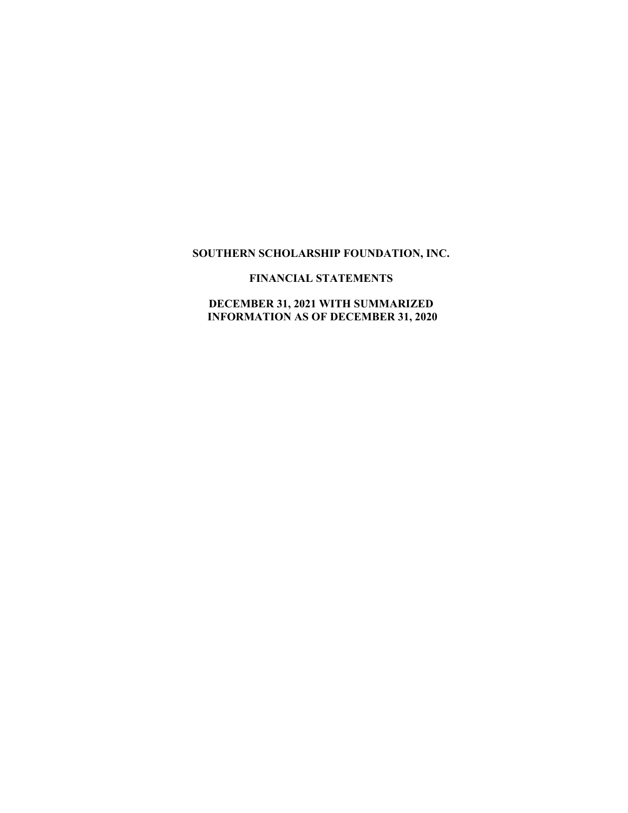# **SOUTHERN SCHOLARSHIP FOUNDATION, INC.**

# **FINANCIAL STATEMENTS**

# **DECEMBER 31, 2021 WITH SUMMARIZED INFORMATION AS OF DECEMBER 31, 2020**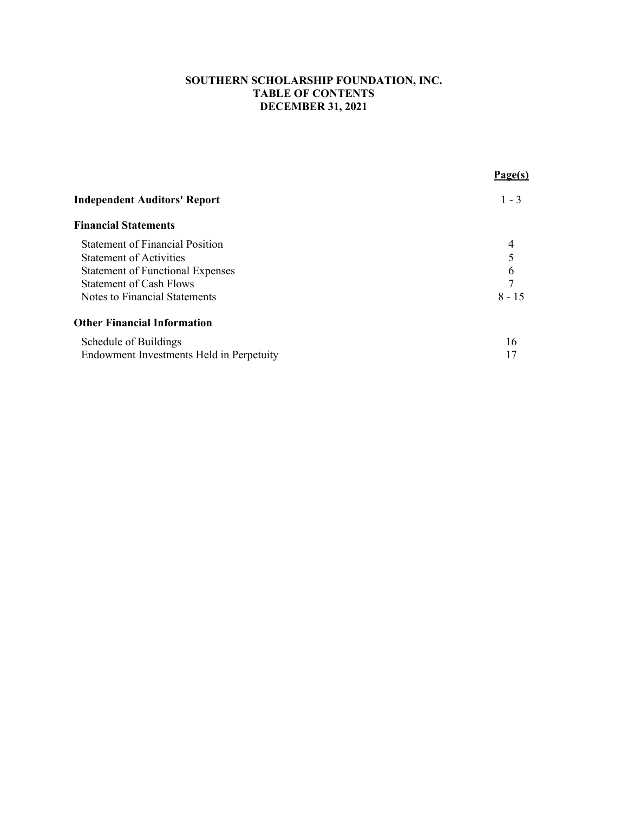## **SOUTHERN SCHOLARSHIP FOUNDATION, INC. TABLE OF CONTENTS DECEMBER 31, 2021**

|                                          | Page(s)  |
|------------------------------------------|----------|
| <b>Independent Auditors' Report</b>      | $1 - 3$  |
| <b>Financial Statements</b>              |          |
| <b>Statement of Financial Position</b>   | 4        |
| <b>Statement of Activities</b>           |          |
| <b>Statement of Functional Expenses</b>  | 6        |
| <b>Statement of Cash Flows</b>           | 7        |
| Notes to Financial Statements            | $8 - 15$ |
| <b>Other Financial Information</b>       |          |
| Schedule of Buildings                    | 16       |
| Endowment Investments Held in Perpetuity |          |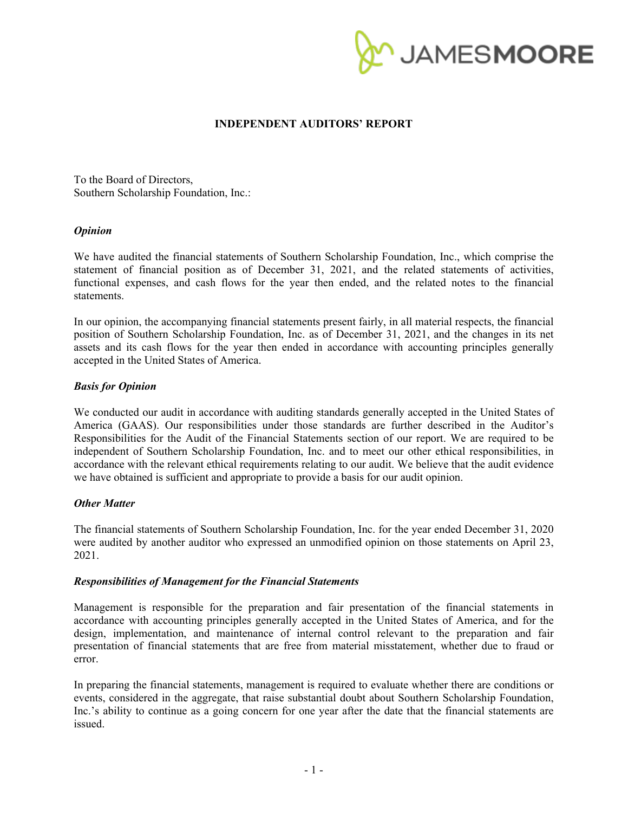

### **INDEPENDENT AUDITORS' REPORT**

To the Board of Directors, Southern Scholarship Foundation, Inc.:

#### *Opinion*

We have audited the financial statements of Southern Scholarship Foundation, Inc., which comprise the statement of financial position as of December 31, 2021, and the related statements of activities, functional expenses, and cash flows for the year then ended, and the related notes to the financial statements.

In our opinion, the accompanying financial statements present fairly, in all material respects, the financial position of Southern Scholarship Foundation, Inc. as of December 31, 2021, and the changes in its net assets and its cash flows for the year then ended in accordance with accounting principles generally accepted in the United States of America.

#### *Basis for Opinion*

We conducted our audit in accordance with auditing standards generally accepted in the United States of America (GAAS). Our responsibilities under those standards are further described in the Auditor's Responsibilities for the Audit of the Financial Statements section of our report. We are required to be independent of Southern Scholarship Foundation, Inc. and to meet our other ethical responsibilities, in accordance with the relevant ethical requirements relating to our audit. We believe that the audit evidence we have obtained is sufficient and appropriate to provide a basis for our audit opinion.

#### *Other Matter*

The financial statements of Southern Scholarship Foundation, Inc. for the year ended December 31, 2020 were audited by another auditor who expressed an unmodified opinion on those statements on April 23, 2021.

#### *Responsibilities of Management for the Financial Statements*

Management is responsible for the preparation and fair presentation of the financial statements in accordance with accounting principles generally accepted in the United States of America, and for the design, implementation, and maintenance of internal control relevant to the preparation and fair presentation of financial statements that are free from material misstatement, whether due to fraud or error.

In preparing the financial statements, management is required to evaluate whether there are conditions or events, considered in the aggregate, that raise substantial doubt about Southern Scholarship Foundation, Inc.'s ability to continue as a going concern for one year after the date that the financial statements are issued.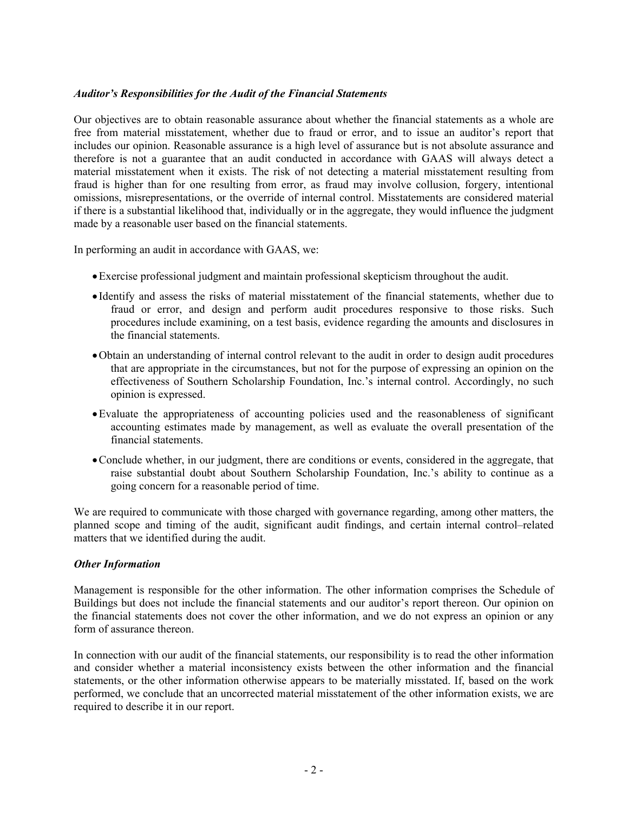### *Auditor's Responsibilities for the Audit of the Financial Statements*

Our objectives are to obtain reasonable assurance about whether the financial statements as a whole are free from material misstatement, whether due to fraud or error, and to issue an auditor's report that includes our opinion. Reasonable assurance is a high level of assurance but is not absolute assurance and therefore is not a guarantee that an audit conducted in accordance with GAAS will always detect a material misstatement when it exists. The risk of not detecting a material misstatement resulting from fraud is higher than for one resulting from error, as fraud may involve collusion, forgery, intentional omissions, misrepresentations, or the override of internal control. Misstatements are considered material if there is a substantial likelihood that, individually or in the aggregate, they would influence the judgment made by a reasonable user based on the financial statements.

In performing an audit in accordance with GAAS, we:

- Exercise professional judgment and maintain professional skepticism throughout the audit.
- Identify and assess the risks of material misstatement of the financial statements, whether due to fraud or error, and design and perform audit procedures responsive to those risks. Such procedures include examining, on a test basis, evidence regarding the amounts and disclosures in the financial statements.
- Obtain an understanding of internal control relevant to the audit in order to design audit procedures that are appropriate in the circumstances, but not for the purpose of expressing an opinion on the effectiveness of Southern Scholarship Foundation, Inc.'s internal control. Accordingly, no such opinion is expressed.
- Evaluate the appropriateness of accounting policies used and the reasonableness of significant accounting estimates made by management, as well as evaluate the overall presentation of the financial statements.
- Conclude whether, in our judgment, there are conditions or events, considered in the aggregate, that raise substantial doubt about Southern Scholarship Foundation, Inc.'s ability to continue as a going concern for a reasonable period of time.

We are required to communicate with those charged with governance regarding, among other matters, the planned scope and timing of the audit, significant audit findings, and certain internal control–related matters that we identified during the audit.

#### *Other Information*

Management is responsible for the other information. The other information comprises the Schedule of Buildings but does not include the financial statements and our auditor's report thereon. Our opinion on the financial statements does not cover the other information, and we do not express an opinion or any form of assurance thereon.

In connection with our audit of the financial statements, our responsibility is to read the other information and consider whether a material inconsistency exists between the other information and the financial statements, or the other information otherwise appears to be materially misstated. If, based on the work performed, we conclude that an uncorrected material misstatement of the other information exists, we are required to describe it in our report.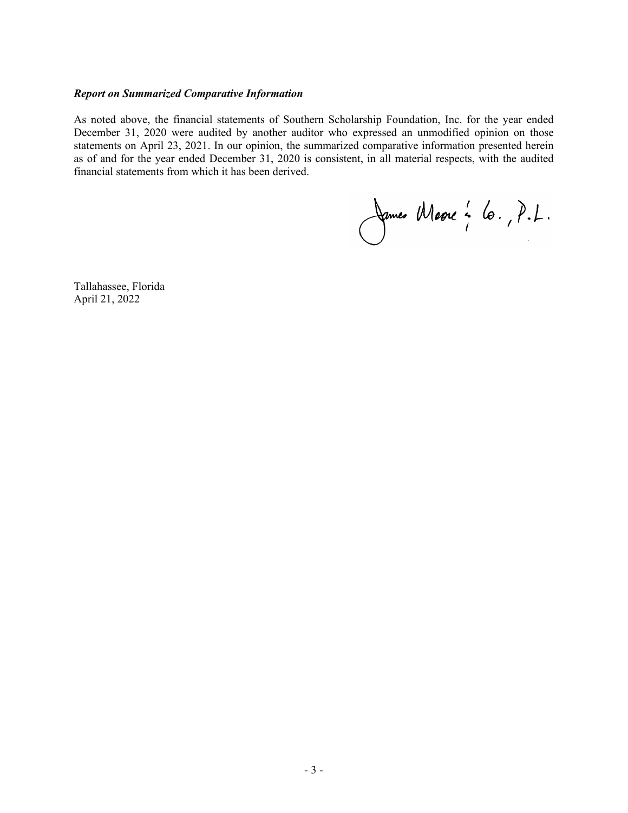#### *Report on Summarized Comparative Information*

As noted above, the financial statements of Southern Scholarship Foundation, Inc. for the year ended December 31, 2020 were audited by another auditor who expressed an unmodified opinion on those statements on April 23, 2021. In our opinion, the summarized comparative information presented herein as of and for the year ended December 31, 2020 is consistent, in all material respects, with the audited financial statements from which it has been derived.

James Marre : 6., P.L.

Tallahassee, Florida April 21, 2022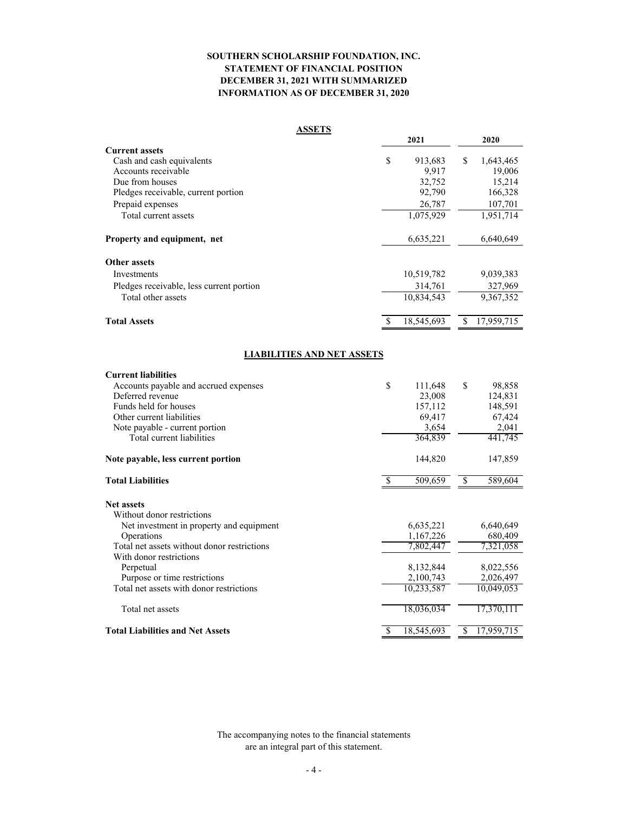#### **SOUTHERN SCHOLARSHIP FOUNDATION, INC. STATEMENT OF FINANCIAL POSITION DECEMBER 31, 2021 WITH SUMMARIZED INFORMATION AS OF DECEMBER 31, 2020**

#### **ASSETS**

|                                          |    | 2021       | 2020             |
|------------------------------------------|----|------------|------------------|
| <b>Current assets</b>                    |    |            |                  |
| Cash and cash equivalents                | \$ | 913,683    | \$<br>1,643,465  |
| Accounts receivable                      |    | 9.917      | 19,006           |
| Due from houses                          |    | 32,752     | 15,214           |
| Pledges receivable, current portion      |    | 92,790     | 166,328          |
| Prepaid expenses                         |    | 26,787     | 107,701          |
| Total current assets                     |    | 1,075,929  | 1,951,714        |
| Property and equipment, net              |    | 6,635,221  | 6,640,649        |
| <b>Other assets</b>                      |    |            |                  |
| Investments                              |    | 10,519,782 | 9,039,383        |
| Pledges receivable, less current portion |    | 314,761    | 327,969          |
| Total other assets                       |    | 10,834,543 | 9,367,352        |
| <b>Total Assets</b>                      | S  | 18,545,693 | \$<br>17,959,715 |
| <b>LIABILITIES AND NET ASSETS</b>        |    |            |                  |
| <b>Current liabilities</b>               |    |            |                  |
| Accounts payable and accrued expenses    | \$ | 111,648    | \$<br>98,858     |
| Deferred revenue                         |    | 23,008     | 124,831          |
| Funds held for houses                    |    | 157,112    | 148,591          |
| Other current liabilities                |    | 69,417     | 67,424           |
| Note payable - current portion           |    | 3,654      | 2,041            |
| Total current liabilities                |    | 364,839    | 441,745          |

### **Note payable, less current portion** 144,820 147,859

| <b>Total Liabilities</b>                    | 509,659    | £.<br>589,604   |
|---------------------------------------------|------------|-----------------|
| <b>Net assets</b>                           |            |                 |
| Without donor restrictions                  |            |                 |
| Net investment in property and equipment    | 6,635,221  | 6,640,649       |
| Operations                                  | 1,167,226  | 680,409         |
| Total net assets without donor restrictions | 7,802,447  | 7,321,058       |
| With donor restrictions                     |            |                 |
| Perpetual                                   | 8,132,844  | 8,022,556       |
| Purpose or time restrictions                | 2,100,743  | 2,026,497       |
| Total net assets with donor restrictions    | 10,233,587 | 10,049,053      |
| Total net assets                            | 18,036,034 | 17.370.111      |
| <b>Total Liabilities and Net Assets</b>     | 18,545,693 | S<br>17.959.715 |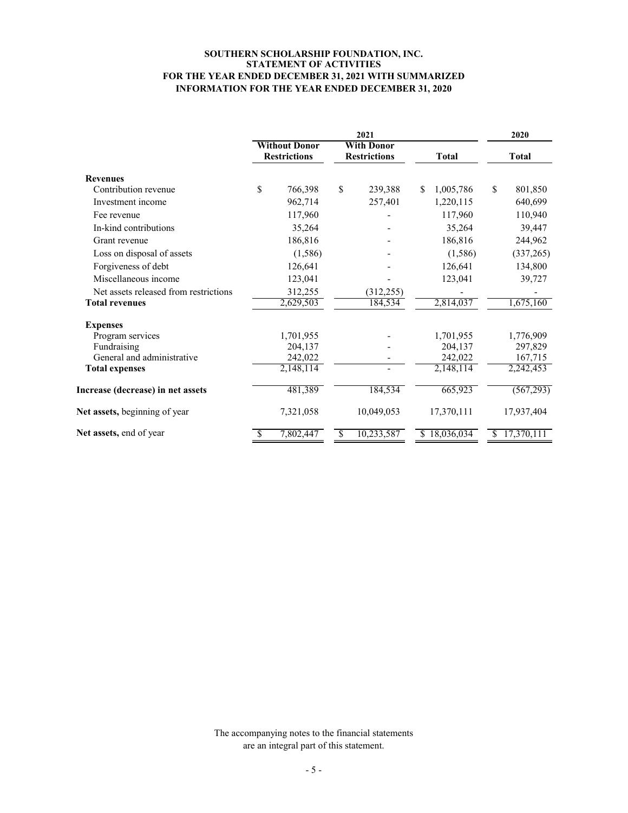#### **SOUTHERN SCHOLARSHIP FOUNDATION, INC. STATEMENT OF ACTIVITIES FOR THE YEAR ENDED DECEMBER 31, 2021 WITH SUMMARIZED INFORMATION FOR THE YEAR ENDED DECEMBER 31, 2020**

|                                       | 2021 |                                             |    |                                          |                 |               | 2020         |  |
|---------------------------------------|------|---------------------------------------------|----|------------------------------------------|-----------------|---------------|--------------|--|
| <b>Revenues</b>                       |      | <b>Without Donor</b><br><b>Restrictions</b> |    | <b>With Donor</b><br><b>Restrictions</b> | <b>Total</b>    |               | <b>Total</b> |  |
|                                       |      |                                             |    |                                          |                 |               |              |  |
| Contribution revenue                  | \$   | 766,398                                     | \$ | 239,388                                  | \$<br>1,005,786 | <sup>\$</sup> | 801,850      |  |
| Investment income                     |      | 962,714                                     |    | 257,401                                  | 1,220,115       |               | 640,699      |  |
| Fee revenue                           |      | 117,960                                     |    |                                          | 117,960         |               | 110,940      |  |
| In-kind contributions                 |      | 35,264                                      |    |                                          | 35,264          |               | 39,447       |  |
| Grant revenue                         |      | 186,816                                     |    |                                          | 186,816         |               | 244,962      |  |
| Loss on disposal of assets            |      | (1,586)                                     |    |                                          | (1,586)         |               | (337, 265)   |  |
| Forgiveness of debt                   |      | 126,641                                     |    |                                          | 126,641         |               | 134,800      |  |
| Miscellaneous income                  |      | 123,041                                     |    |                                          | 123,041         |               | 39,727       |  |
| Net assets released from restrictions |      | 312,255                                     |    | (312, 255)                               |                 |               |              |  |
| <b>Total revenues</b>                 |      | 2,629,503                                   |    | 184,534                                  | 2,814,037       |               | 1,675,160    |  |
| <b>Expenses</b>                       |      |                                             |    |                                          |                 |               |              |  |
| Program services                      |      | 1,701,955                                   |    |                                          | 1,701,955       |               | 1,776,909    |  |
| Fundraising                           |      | 204,137                                     |    |                                          | 204,137         |               | 297,829      |  |
| General and administrative            |      | 242,022                                     |    |                                          | 242,022         |               | 167,715      |  |
| <b>Total expenses</b>                 |      | 2,148,114                                   |    |                                          | 2,148,114       |               | 2,242,453    |  |
| Increase (decrease) in net assets     |      | 481,389                                     |    | 184,534                                  | 665,923         |               | (567,293)    |  |
| Net assets, beginning of year         |      | 7,321,058                                   |    | 10,049,053                               | 17,370,111      |               | 17,937,404   |  |
| Net assets, end of year               |      | 7,802,447                                   | \$ | 10,233,587                               | \$18,036,034    | \$.           | 17,370,111   |  |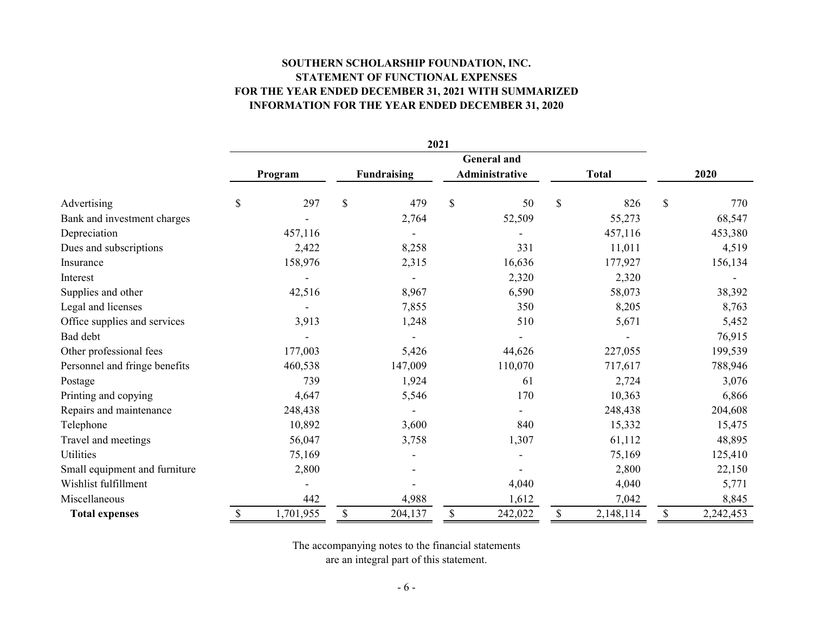# **SOUTHERN SCHOLARSHIP FOUNDATION, INC. STATEMENT OF FUNCTIONAL EXPENSES FOR THE YEAR ENDED DECEMBER 31, 2021 WITH SUMMARIZED INFORMATION FOR THE YEAR ENDED DECEMBER 31, 2020**

|                               | 2021 |           |              |                    |               |                    |               |              |    |           |
|-------------------------------|------|-----------|--------------|--------------------|---------------|--------------------|---------------|--------------|----|-----------|
|                               |      |           |              |                    |               | <b>General</b> and |               |              |    |           |
|                               |      | Program   |              | <b>Fundraising</b> |               | Administrative     |               | <b>Total</b> |    | 2020      |
| Advertising                   | \$   | 297       | $\mathbb{S}$ | 479                | $\mathcal{S}$ | 50                 | \$            | 826          | \$ | 770       |
| Bank and investment charges   |      |           |              | 2,764              |               | 52,509             |               | 55,273       |    | 68,547    |
| Depreciation                  |      | 457,116   |              |                    |               |                    |               | 457,116      |    | 453,380   |
| Dues and subscriptions        |      | 2,422     |              | 8,258              |               | 331                |               | 11,011       |    | 4,519     |
| Insurance                     |      | 158,976   |              | 2,315              |               | 16,636             |               | 177,927      |    | 156,134   |
| Interest                      |      |           |              |                    |               | 2,320              |               | 2,320        |    |           |
| Supplies and other            |      | 42,516    |              | 8,967              |               | 6,590              |               | 58,073       |    | 38,392    |
| Legal and licenses            |      |           |              | 7,855              |               | 350                |               | 8,205        |    | 8,763     |
| Office supplies and services  |      | 3,913     |              | 1,248              |               | 510                |               | 5,671        |    | 5,452     |
| Bad debt                      |      |           |              |                    |               |                    |               |              |    | 76,915    |
| Other professional fees       |      | 177,003   |              | 5,426              |               | 44,626             |               | 227,055      |    | 199,539   |
| Personnel and fringe benefits |      | 460,538   |              | 147,009            |               | 110,070            |               | 717,617      |    | 788,946   |
| Postage                       |      | 739       |              | 1,924              |               | 61                 |               | 2,724        |    | 3,076     |
| Printing and copying          |      | 4,647     |              | 5,546              |               | 170                |               | 10,363       |    | 6,866     |
| Repairs and maintenance       |      | 248,438   |              |                    |               |                    |               | 248,438      |    | 204,608   |
| Telephone                     |      | 10,892    |              | 3,600              |               | 840                |               | 15,332       |    | 15,475    |
| Travel and meetings           |      | 56,047    |              | 3,758              |               | 1,307              |               | 61,112       |    | 48,895    |
| <b>Utilities</b>              |      | 75,169    |              |                    |               |                    |               | 75,169       |    | 125,410   |
| Small equipment and furniture |      | 2,800     |              |                    |               |                    |               | 2,800        |    | 22,150    |
| Wishlist fulfillment          |      |           |              |                    |               | 4,040              |               | 4,040        |    | 5,771     |
| Miscellaneous                 |      | 442       |              | 4,988              |               | 1,612              |               | 7,042        |    | 8,845     |
| <b>Total expenses</b>         | \$   | 1,701,955 | $\mathbb{S}$ | 204,137            | \$            | 242,022            | $\mathcal{S}$ | 2,148,114    | \$ | 2,242,453 |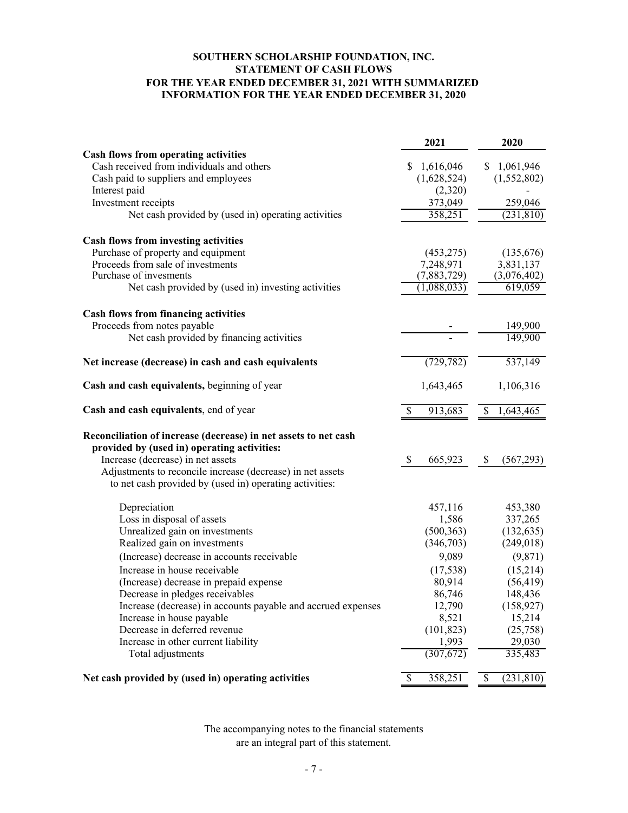#### **INFORMATION FOR THE YEAR ENDED DECEMBER 31, 2020 SOUTHERN SCHOLARSHIP FOUNDATION, INC. STATEMENT OF CASH FLOWS FOR THE YEAR ENDED DECEMBER 31, 2021 WITH SUMMARIZED**

|                                                                                                                                                                                                                                                                              | 2021                                | 2020             |
|------------------------------------------------------------------------------------------------------------------------------------------------------------------------------------------------------------------------------------------------------------------------------|-------------------------------------|------------------|
| Cash flows from operating activities                                                                                                                                                                                                                                         |                                     |                  |
| Cash received from individuals and others                                                                                                                                                                                                                                    | 1,616,046<br>S.                     | 1,061,946<br>S.  |
| Cash paid to suppliers and employees                                                                                                                                                                                                                                         | (1,628,524)                         | (1,552,802)      |
| Interest paid                                                                                                                                                                                                                                                                | (2,320)                             |                  |
| Investment receipts                                                                                                                                                                                                                                                          | 373,049                             | 259,046          |
| Net cash provided by (used in) operating activities                                                                                                                                                                                                                          | 358,251                             | (231, 810)       |
| <b>Cash flows from investing activities</b>                                                                                                                                                                                                                                  |                                     |                  |
| Purchase of property and equipment                                                                                                                                                                                                                                           | (453, 275)                          | (135,676)        |
| Proceeds from sale of investments                                                                                                                                                                                                                                            | 7,248,971                           | 3,831,137        |
| Purchase of invesments                                                                                                                                                                                                                                                       | (7,883,729)                         | (3,076,402)      |
| Net cash provided by (used in) investing activities                                                                                                                                                                                                                          | (1,088,033)                         | 619,059          |
| <b>Cash flows from financing activities</b>                                                                                                                                                                                                                                  |                                     |                  |
| Proceeds from notes payable                                                                                                                                                                                                                                                  |                                     | 149,900          |
| Net cash provided by financing activities                                                                                                                                                                                                                                    |                                     | 149,900          |
| Net increase (decrease) in cash and cash equivalents                                                                                                                                                                                                                         | (729, 782)                          | 537,149          |
| Cash and cash equivalents, beginning of year                                                                                                                                                                                                                                 | 1,643,465                           | 1,106,316        |
| Cash and cash equivalents, end of year                                                                                                                                                                                                                                       | $\overline{\mathcal{S}}$<br>913,683 | 1,643,465<br>\$  |
| Reconciliation of increase (decrease) in net assets to net cash<br>provided by (used in) operating activities:<br>Increase (decrease) in net assets<br>Adjustments to reconcile increase (decrease) in net assets<br>to net cash provided by (used in) operating activities: | \$<br>665,923                       | \$<br>(567,293)  |
| Depreciation                                                                                                                                                                                                                                                                 | 457,116                             | 453,380          |
| Loss in disposal of assets                                                                                                                                                                                                                                                   | 1,586                               | 337,265          |
| Unrealized gain on investments                                                                                                                                                                                                                                               | (500, 363)                          | (132, 635)       |
| Realized gain on investments                                                                                                                                                                                                                                                 | (346,703)                           | (249, 018)       |
| (Increase) decrease in accounts receivable                                                                                                                                                                                                                                   | 9,089                               | (9,871)          |
| Increase in house receivable                                                                                                                                                                                                                                                 | (17, 538)                           | (15,214)         |
| (Increase) decrease in prepaid expense                                                                                                                                                                                                                                       | 80,914                              | (56, 419)        |
| Decrease in pledges receivables                                                                                                                                                                                                                                              | 86,746                              | 148,436          |
| Increase (decrease) in accounts payable and accrued expenses                                                                                                                                                                                                                 | 12,790                              | (158, 927)       |
| Increase in house payable                                                                                                                                                                                                                                                    | 8,521                               | 15,214           |
| Decrease in deferred revenue                                                                                                                                                                                                                                                 | (101, 823)                          | (25,758)         |
| Increase in other current liability                                                                                                                                                                                                                                          | 1,993                               | 29,030           |
| Total adjustments                                                                                                                                                                                                                                                            | (307, 672)                          | 335,483          |
| Net cash provided by (used in) operating activities                                                                                                                                                                                                                          | 358,251<br>\$                       | (231, 810)<br>\$ |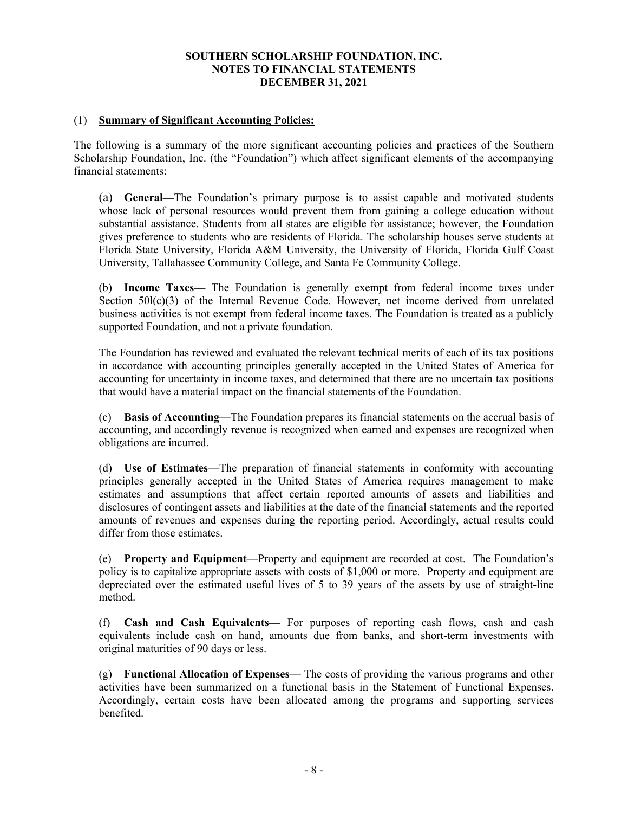#### (1) **Summary of Significant Accounting Policies:**

The following is a summary of the more significant accounting policies and practices of the Southern Scholarship Foundation, Inc. (the "Foundation") which affect significant elements of the accompanying financial statements:

(a) **General—**The Foundation's primary purpose is to assist capable and motivated students whose lack of personal resources would prevent them from gaining a college education without substantial assistance. Students from all states are eligible for assistance; however, the Foundation gives preference to students who are residents of Florida. The scholarship houses serve students at Florida State University, Florida A&M University, the University of Florida, Florida Gulf Coast University, Tallahassee Community College, and Santa Fe Community College.

(b) **Income Taxes—** The Foundation is generally exempt from federal income taxes under Section  $50I(c)(3)$  of the Internal Revenue Code. However, net income derived from unrelated business activities is not exempt from federal income taxes. The Foundation is treated as a publicly supported Foundation, and not a private foundation.

The Foundation has reviewed and evaluated the relevant technical merits of each of its tax positions in accordance with accounting principles generally accepted in the United States of America for accounting for uncertainty in income taxes, and determined that there are no uncertain tax positions that would have a material impact on the financial statements of the Foundation.

(c) **Basis of Accounting—**The Foundation prepares its financial statements on the accrual basis of accounting, and accordingly revenue is recognized when earned and expenses are recognized when obligations are incurred.

(d) **Use of Estimates—**The preparation of financial statements in conformity with accounting principles generally accepted in the United States of America requires management to make estimates and assumptions that affect certain reported amounts of assets and liabilities and disclosures of contingent assets and liabilities at the date of the financial statements and the reported amounts of revenues and expenses during the reporting period. Accordingly, actual results could differ from those estimates.

(e) **Property and Equipment**—Property and equipment are recorded at cost. The Foundation's policy is to capitalize appropriate assets with costs of \$1,000 or more. Property and equipment are depreciated over the estimated useful lives of 5 to 39 years of the assets by use of straight-line method.

(f) **Cash and Cash Equivalents—** For purposes of reporting cash flows, cash and cash equivalents include cash on hand, amounts due from banks, and short-term investments with original maturities of 90 days or less.

(g) **Functional Allocation of Expenses—** The costs of providing the various programs and other activities have been summarized on a functional basis in the Statement of Functional Expenses. Accordingly, certain costs have been allocated among the programs and supporting services benefited.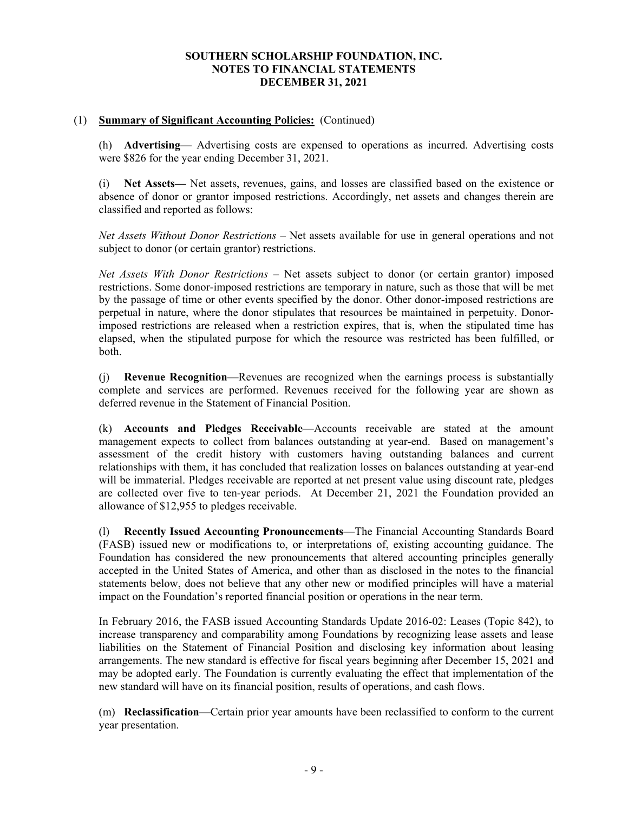### (1) **Summary of Significant Accounting Policies:** (Continued)

(h) **Advertising**— Advertising costs are expensed to operations as incurred. Advertising costs were \$826 for the year ending December 31, 2021.

(i) **Net Assets—** Net assets, revenues, gains, and losses are classified based on the existence or absence of donor or grantor imposed restrictions. Accordingly, net assets and changes therein are classified and reported as follows:

*Net Assets Without Donor Restrictions* – Net assets available for use in general operations and not subject to donor (or certain grantor) restrictions.

*Net Assets With Donor Restrictions* – Net assets subject to donor (or certain grantor) imposed restrictions. Some donor-imposed restrictions are temporary in nature, such as those that will be met by the passage of time or other events specified by the donor. Other donor-imposed restrictions are perpetual in nature, where the donor stipulates that resources be maintained in perpetuity. Donorimposed restrictions are released when a restriction expires, that is, when the stipulated time has elapsed, when the stipulated purpose for which the resource was restricted has been fulfilled, or both.

(j) **Revenue Recognition—**Revenues are recognized when the earnings process is substantially complete and services are performed. Revenues received for the following year are shown as deferred revenue in the Statement of Financial Position.

(k) **Accounts and Pledges Receivable**—Accounts receivable are stated at the amount management expects to collect from balances outstanding at year-end. Based on management's assessment of the credit history with customers having outstanding balances and current relationships with them, it has concluded that realization losses on balances outstanding at year-end will be immaterial. Pledges receivable are reported at net present value using discount rate, pledges are collected over five to ten-year periods. At December 21, 2021 the Foundation provided an allowance of \$12,955 to pledges receivable.

(l) **Recently Issued Accounting Pronouncements**—The Financial Accounting Standards Board (FASB) issued new or modifications to, or interpretations of, existing accounting guidance. The Foundation has considered the new pronouncements that altered accounting principles generally accepted in the United States of America, and other than as disclosed in the notes to the financial statements below, does not believe that any other new or modified principles will have a material impact on the Foundation's reported financial position or operations in the near term.

In February 2016, the FASB issued Accounting Standards Update 2016-02: Leases (Topic 842), to increase transparency and comparability among Foundations by recognizing lease assets and lease liabilities on the Statement of Financial Position and disclosing key information about leasing arrangements. The new standard is effective for fiscal years beginning after December 15, 2021 and may be adopted early. The Foundation is currently evaluating the effect that implementation of the new standard will have on its financial position, results of operations, and cash flows.

(m) **Reclassification—**Certain prior year amounts have been reclassified to conform to the current year presentation.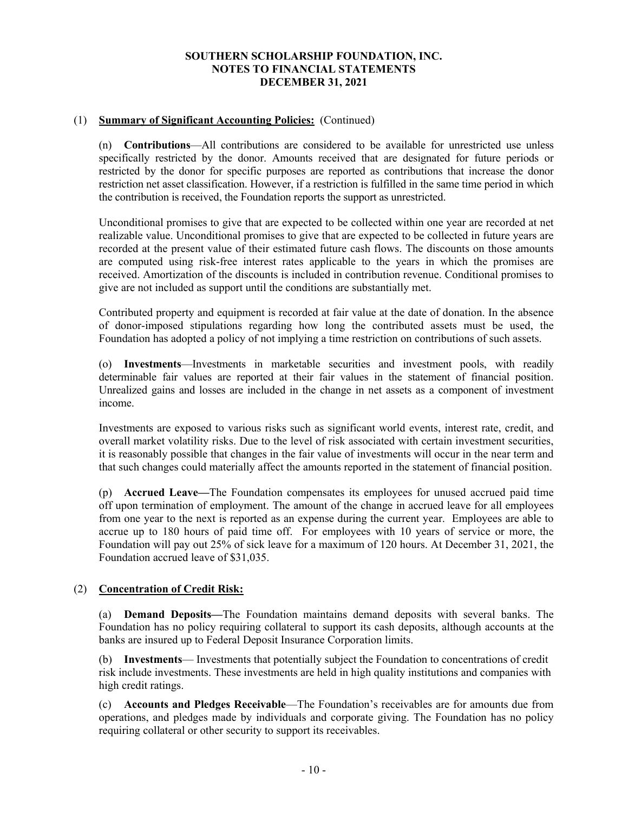### (1) **Summary of Significant Accounting Policies:** (Continued)

(n) **Contributions**—All contributions are considered to be available for unrestricted use unless specifically restricted by the donor. Amounts received that are designated for future periods or restricted by the donor for specific purposes are reported as contributions that increase the donor restriction net asset classification. However, if a restriction is fulfilled in the same time period in which the contribution is received, the Foundation reports the support as unrestricted.

Unconditional promises to give that are expected to be collected within one year are recorded at net realizable value. Unconditional promises to give that are expected to be collected in future years are recorded at the present value of their estimated future cash flows. The discounts on those amounts are computed using risk-free interest rates applicable to the years in which the promises are received. Amortization of the discounts is included in contribution revenue. Conditional promises to give are not included as support until the conditions are substantially met.

Contributed property and equipment is recorded at fair value at the date of donation. In the absence of donor-imposed stipulations regarding how long the contributed assets must be used, the Foundation has adopted a policy of not implying a time restriction on contributions of such assets.

(o) **Investments**—Investments in marketable securities and investment pools, with readily determinable fair values are reported at their fair values in the statement of financial position. Unrealized gains and losses are included in the change in net assets as a component of investment income.

Investments are exposed to various risks such as significant world events, interest rate, credit, and overall market volatility risks. Due to the level of risk associated with certain investment securities, it is reasonably possible that changes in the fair value of investments will occur in the near term and that such changes could materially affect the amounts reported in the statement of financial position.

(p) **Accrued Leave—**The Foundation compensates its employees for unused accrued paid time off upon termination of employment. The amount of the change in accrued leave for all employees from one year to the next is reported as an expense during the current year. Employees are able to accrue up to 180 hours of paid time off. For employees with 10 years of service or more, the Foundation will pay out 25% of sick leave for a maximum of 120 hours. At December 31, 2021, the Foundation accrued leave of \$31,035.

## (2) **Concentration of Credit Risk:**

(a) **Demand Deposits—**The Foundation maintains demand deposits with several banks. The Foundation has no policy requiring collateral to support its cash deposits, although accounts at the banks are insured up to Federal Deposit Insurance Corporation limits.

(b) **Investments**— Investments that potentially subject the Foundation to concentrations of credit risk include investments. These investments are held in high quality institutions and companies with high credit ratings.

(c) **Accounts and Pledges Receivable**—The Foundation's receivables are for amounts due from operations, and pledges made by individuals and corporate giving. The Foundation has no policy requiring collateral or other security to support its receivables.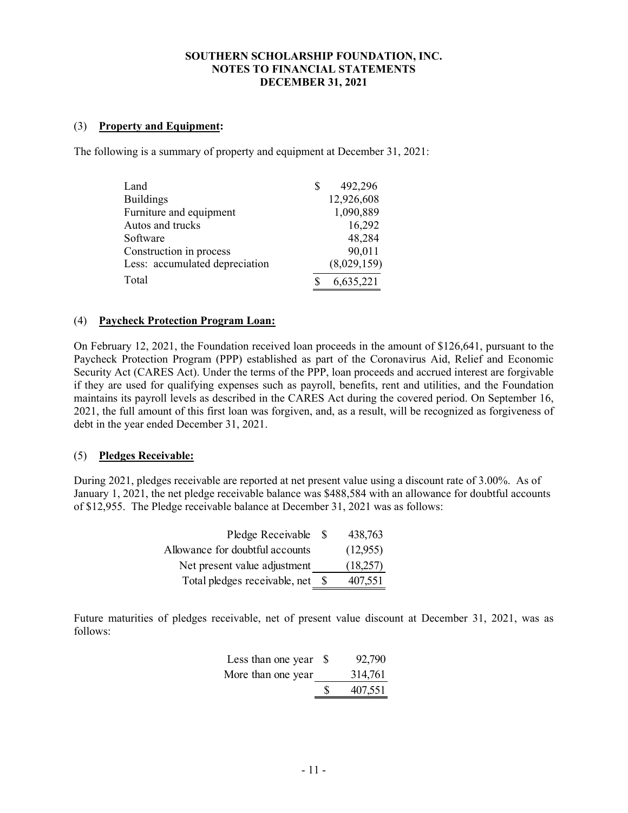#### (3) **Property and Equipment:**

The following is a summary of property and equipment at December 31, 2021:

| Land                           | 492,296     |
|--------------------------------|-------------|
| <b>Buildings</b>               | 12,926,608  |
| Furniture and equipment        | 1,090,889   |
| Autos and trucks               | 16,292      |
| Software                       | 48,284      |
| Construction in process        | 90,011      |
| Less: accumulated depreciation | (8,029,159) |
| Total                          | 6,635,221   |

#### (4) **Paycheck Protection Program Loan:**

On February 12, 2021, the Foundation received loan proceeds in the amount of \$126,641, pursuant to the Paycheck Protection Program (PPP) established as part of the Coronavirus Aid, Relief and Economic Security Act (CARES Act). Under the terms of the PPP, loan proceeds and accrued interest are forgivable if they are used for qualifying expenses such as payroll, benefits, rent and utilities, and the Foundation maintains its payroll levels as described in the CARES Act during the covered period. On September 16, 2021, the full amount of this first loan was forgiven, and, as a result, will be recognized as forgiveness of debt in the year ended December 31, 2021.

#### (5) **Pledges Receivable:**

During 2021, pledges receivable are reported at net present value using a discount rate of 3.00%. As of January 1, 2021, the net pledge receivable balance was \$488,584 with an allowance for doubtful accounts of \$12,955. The Pledge receivable balance at December 31, 2021 was as follows:

| Pledge Receivable               | - S  | 438,763  |
|---------------------------------|------|----------|
| Allowance for doubtful accounts |      | (12,955) |
| Net present value adjustment    |      | (18,257) |
| Total pledges receivable, net   | - 85 | 407,551  |

Future maturities of pledges receivable, net of present value discount at December 31, 2021, was as follows:

| Less than one year \$ |    | 92,790  |
|-----------------------|----|---------|
| More than one year    |    | 314,761 |
|                       | £. | 407,551 |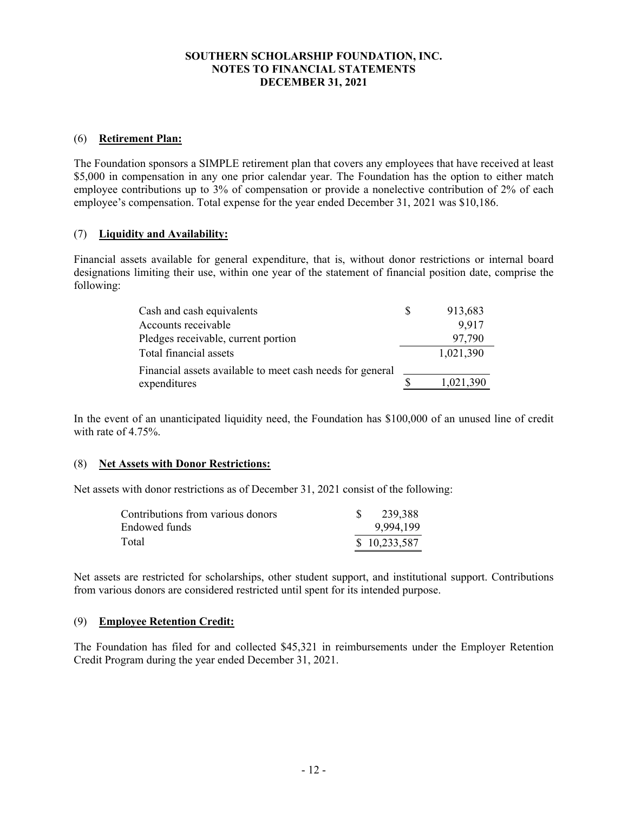### (6) **Retirement Plan:**

The Foundation sponsors a SIMPLE retirement plan that covers any employees that have received at least \$5,000 in compensation in any one prior calendar year. The Foundation has the option to either match employee contributions up to 3% of compensation or provide a nonelective contribution of 2% of each employee's compensation. Total expense for the year ended December 31, 2021 was \$10,186.

## (7) **Liquidity and Availability:**

Financial assets available for general expenditure, that is, without donor restrictions or internal board designations limiting their use, within one year of the statement of financial position date, comprise the following:

| Cash and cash equivalents                                 | 913,683   |
|-----------------------------------------------------------|-----------|
| Accounts receivable                                       | 9,917     |
| Pledges receivable, current portion                       | 97,790    |
| Total financial assets                                    | 1,021,390 |
| Financial assets available to meet cash needs for general |           |
| expenditures                                              | 1,021,390 |

In the event of an unanticipated liquidity need, the Foundation has \$100,000 of an unused line of credit with rate of 4.75%.

#### (8) **Net Assets with Donor Restrictions:**

Net assets with donor restrictions as of December 31, 2021 consist of the following:

| Contributions from various donors | 239,388      |
|-----------------------------------|--------------|
| Endowed funds                     | 9,994,199    |
| Total                             | \$10,233,587 |

Net assets are restricted for scholarships, other student support, and institutional support. Contributions from various donors are considered restricted until spent for its intended purpose.

#### (9) **Employee Retention Credit:**

The Foundation has filed for and collected \$45,321 in reimbursements under the Employer Retention Credit Program during the year ended December 31, 2021.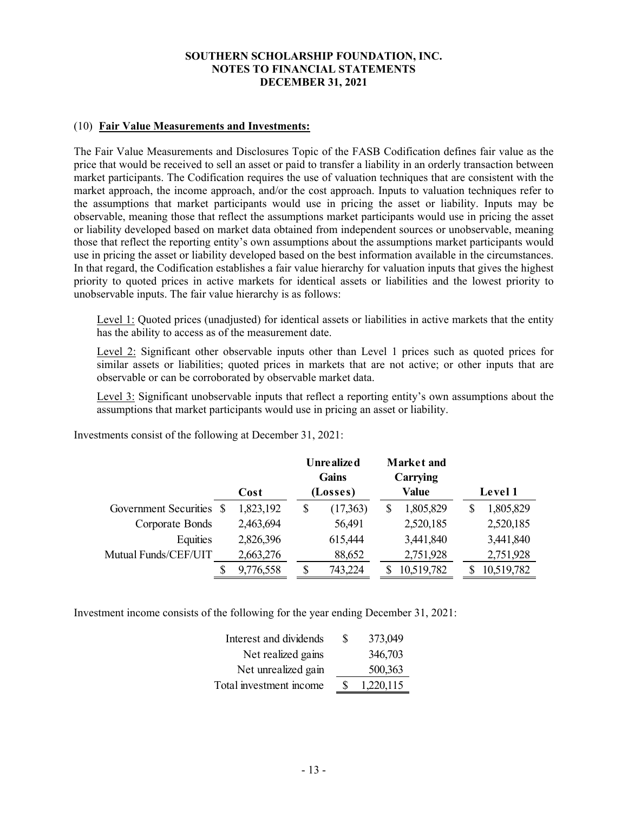#### (10) **Fair Value Measurements and Investments:**

The Fair Value Measurements and Disclosures Topic of the FASB Codification defines fair value as the price that would be received to sell an asset or paid to transfer a liability in an orderly transaction between market participants. The Codification requires the use of valuation techniques that are consistent with the market approach, the income approach, and/or the cost approach. Inputs to valuation techniques refer to the assumptions that market participants would use in pricing the asset or liability. Inputs may be observable, meaning those that reflect the assumptions market participants would use in pricing the asset or liability developed based on market data obtained from independent sources or unobservable, meaning those that reflect the reporting entity's own assumptions about the assumptions market participants would use in pricing the asset or liability developed based on the best information available in the circumstances. In that regard, the Codification establishes a fair value hierarchy for valuation inputs that gives the highest priority to quoted prices in active markets for identical assets or liabilities and the lowest priority to unobservable inputs. The fair value hierarchy is as follows:

Level 1: Quoted prices (unadjusted) for identical assets or liabilities in active markets that the entity has the ability to access as of the measurement date.

Level 2: Significant other observable inputs other than Level 1 prices such as quoted prices for similar assets or liabilities; quoted prices in markets that are not active; or other inputs that are observable or can be corroborated by observable market data.

Level 3: Significant unobservable inputs that reflect a reporting entity's own assumptions about the assumptions that market participants would use in pricing an asset or liability.

|                          | Cost      | <b>Unrealized</b><br>Gains<br>(Losses) |          | <b>Market</b> and<br>Carrying<br><b>Value</b> |   | Level 1    |
|--------------------------|-----------|----------------------------------------|----------|-----------------------------------------------|---|------------|
| Government Securities \$ | 1,823,192 | \$                                     | (17,363) | 1,805,829                                     | S | 1,805,829  |
| Corporate Bonds          | 2,463,694 |                                        | 56,491   | 2,520,185                                     |   | 2,520,185  |
| Equities                 | 2,826,396 |                                        | 615,444  | 3,441,840                                     |   | 3,441,840  |
| Mutual Funds/CEF/UIT     | 2,663,276 |                                        | 88,652   | 2,751,928                                     |   | 2,751,928  |
|                          | 9,776,558 |                                        | 743,224  | 10,519,782                                    |   | 10,519,782 |

Investments consist of the following at December 31, 2021:

Investment income consists of the following for the year ending December 31, 2021:

| Interest and dividends  | S | 373,049   |
|-------------------------|---|-----------|
| Net realized gains      |   | 346,703   |
| Net unrealized gain     |   | 500,363   |
| Total investment income |   | 1,220,115 |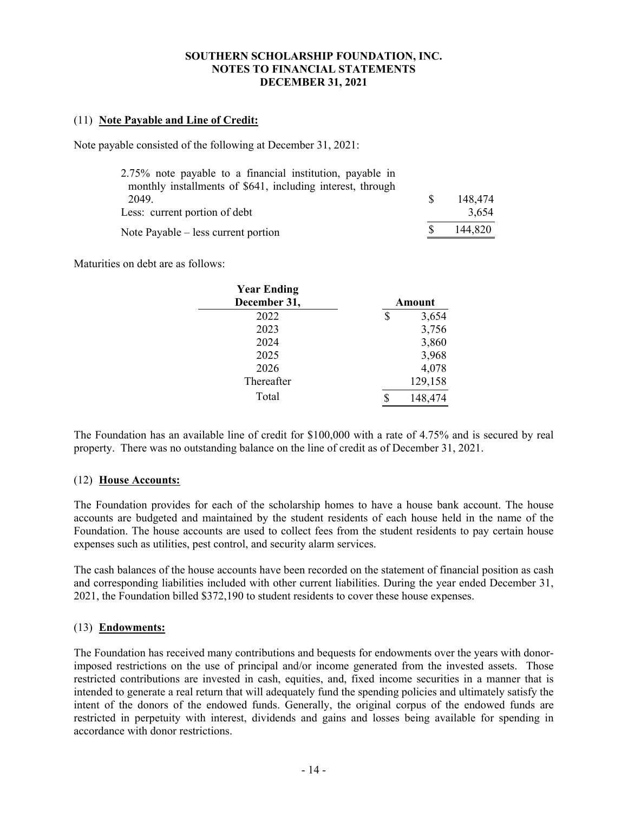### (11) **Note Payable and Line of Credit:**

Note payable consisted of the following at December 31, 2021:

| 2.75% note payable to a financial institution, payable in<br>monthly installments of \$641, including interest, through |         |
|-------------------------------------------------------------------------------------------------------------------------|---------|
| 2049.                                                                                                                   | 148,474 |
| Less: current portion of debt                                                                                           | 3.654   |
| Note Payable – less current portion                                                                                     | 144.820 |

Maturities on debt are as follows:

| <b>Year Ending</b> |        |         |
|--------------------|--------|---------|
| December 31,       | Amount |         |
| 2022               | \$     | 3,654   |
| 2023               |        | 3,756   |
| 2024               |        | 3,860   |
| 2025               |        | 3,968   |
| 2026               |        | 4,078   |
| Thereafter         |        | 129,158 |
| Total              |        | 148,474 |

The Foundation has an available line of credit for \$100,000 with a rate of 4.75% and is secured by real property. There was no outstanding balance on the line of credit as of December 31, 2021.

#### (12) **House Accounts:**

The Foundation provides for each of the scholarship homes to have a house bank account. The house accounts are budgeted and maintained by the student residents of each house held in the name of the Foundation. The house accounts are used to collect fees from the student residents to pay certain house expenses such as utilities, pest control, and security alarm services.

The cash balances of the house accounts have been recorded on the statement of financial position as cash and corresponding liabilities included with other current liabilities. During the year ended December 31, 2021, the Foundation billed \$372,190 to student residents to cover these house expenses.

#### (13) **Endowments:**

The Foundation has received many contributions and bequests for endowments over the years with donorimposed restrictions on the use of principal and/or income generated from the invested assets. Those restricted contributions are invested in cash, equities, and, fixed income securities in a manner that is intended to generate a real return that will adequately fund the spending policies and ultimately satisfy the intent of the donors of the endowed funds. Generally, the original corpus of the endowed funds are restricted in perpetuity with interest, dividends and gains and losses being available for spending in accordance with donor restrictions.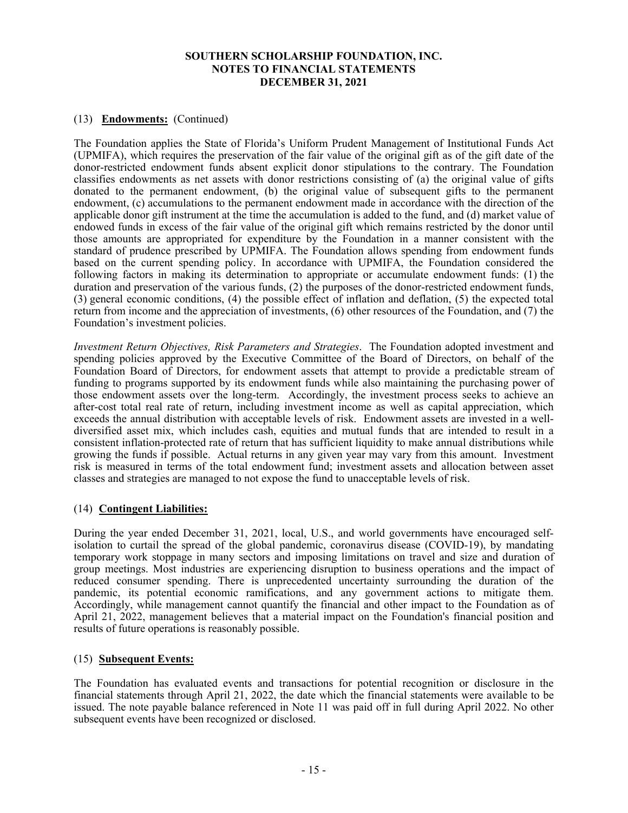## (13) **Endowments:** (Continued)

The Foundation applies the State of Florida's Uniform Prudent Management of Institutional Funds Act (UPMIFA), which requires the preservation of the fair value of the original gift as of the gift date of the donor-restricted endowment funds absent explicit donor stipulations to the contrary. The Foundation classifies endowments as net assets with donor restrictions consisting of (a) the original value of gifts donated to the permanent endowment, (b) the original value of subsequent gifts to the permanent endowment, (c) accumulations to the permanent endowment made in accordance with the direction of the applicable donor gift instrument at the time the accumulation is added to the fund, and (d) market value of endowed funds in excess of the fair value of the original gift which remains restricted by the donor until those amounts are appropriated for expenditure by the Foundation in a manner consistent with the standard of prudence prescribed by UPMIFA. The Foundation allows spending from endowment funds based on the current spending policy. In accordance with UPMIFA, the Foundation considered the following factors in making its determination to appropriate or accumulate endowment funds: (1) the duration and preservation of the various funds, (2) the purposes of the donor-restricted endowment funds, (3) general economic conditions, (4) the possible effect of inflation and deflation, (5) the expected total return from income and the appreciation of investments, (6) other resources of the Foundation, and (7) the Foundation's investment policies.

*Investment Return Objectives, Risk Parameters and Strategies*. The Foundation adopted investment and spending policies approved by the Executive Committee of the Board of Directors, on behalf of the Foundation Board of Directors, for endowment assets that attempt to provide a predictable stream of funding to programs supported by its endowment funds while also maintaining the purchasing power of those endowment assets over the long-term. Accordingly, the investment process seeks to achieve an after-cost total real rate of return, including investment income as well as capital appreciation, which exceeds the annual distribution with acceptable levels of risk. Endowment assets are invested in a welldiversified asset mix, which includes cash, equities and mutual funds that are intended to result in a consistent inflation-protected rate of return that has sufficient liquidity to make annual distributions while growing the funds if possible. Actual returns in any given year may vary from this amount. Investment risk is measured in terms of the total endowment fund; investment assets and allocation between asset classes and strategies are managed to not expose the fund to unacceptable levels of risk.

#### (14) **Contingent Liabilities:**

During the year ended December 31, 2021, local, U.S., and world governments have encouraged selfisolation to curtail the spread of the global pandemic, coronavirus disease (COVID-19), by mandating temporary work stoppage in many sectors and imposing limitations on travel and size and duration of group meetings. Most industries are experiencing disruption to business operations and the impact of reduced consumer spending. There is unprecedented uncertainty surrounding the duration of the pandemic, its potential economic ramifications, and any government actions to mitigate them. Accordingly, while management cannot quantify the financial and other impact to the Foundation as of April 21, 2022, management believes that a material impact on the Foundation's financial position and results of future operations is reasonably possible.

#### (15) **Subsequent Events:**

The Foundation has evaluated events and transactions for potential recognition or disclosure in the financial statements through April 21, 2022, the date which the financial statements were available to be issued. The note payable balance referenced in Note 11 was paid off in full during April 2022. No other subsequent events have been recognized or disclosed.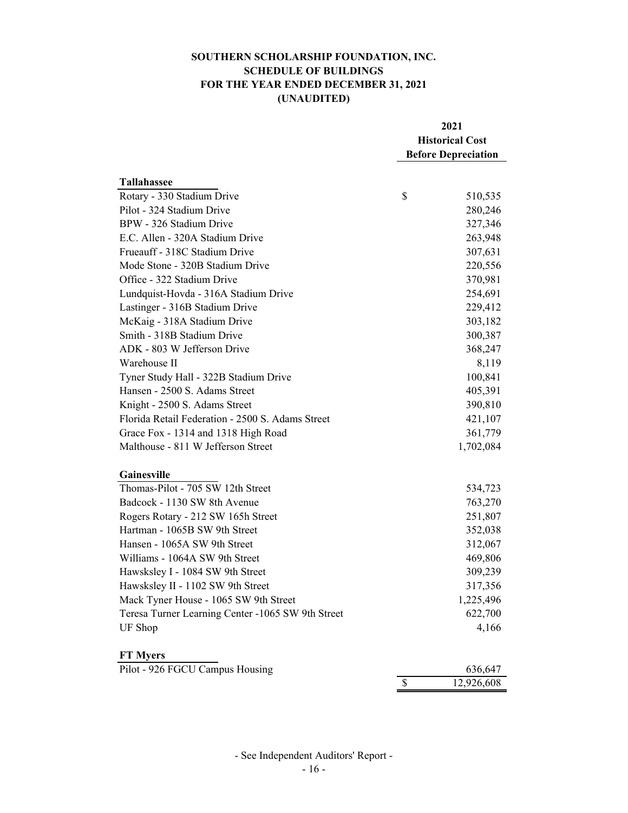# **SOUTHERN SCHOLARSHIP FOUNDATION, INC. SCHEDULE OF BUILDINGS FOR THE YEAR ENDED DECEMBER 31, 2021 (UNAUDITED)**

|                                                   |    | 2021<br><b>Historical Cost</b><br><b>Before Depreciation</b> |  |
|---------------------------------------------------|----|--------------------------------------------------------------|--|
|                                                   |    |                                                              |  |
|                                                   |    |                                                              |  |
|                                                   |    |                                                              |  |
| <b>Tallahassee</b>                                |    |                                                              |  |
| Rotary - 330 Stadium Drive                        | \$ | 510,535                                                      |  |
| Pilot - 324 Stadium Drive                         |    | 280,246                                                      |  |
| BPW - 326 Stadium Drive                           |    | 327,346                                                      |  |
| E.C. Allen - 320A Stadium Drive                   |    | 263,948                                                      |  |
| Frueauff - 318C Stadium Drive                     |    | 307,631                                                      |  |
| Mode Stone - 320B Stadium Drive                   |    | 220,556                                                      |  |
| Office - 322 Stadium Drive                        |    | 370,981                                                      |  |
| Lundquist-Hovda - 316A Stadium Drive              |    | 254,691                                                      |  |
| Lastinger - 316B Stadium Drive                    |    | 229,412                                                      |  |
| McKaig - 318A Stadium Drive                       |    | 303,182                                                      |  |
| Smith - 318B Stadium Drive                        |    | 300,387                                                      |  |
| ADK - 803 W Jefferson Drive                       |    | 368,247                                                      |  |
| Warehouse II                                      |    | 8,119                                                        |  |
| Tyner Study Hall - 322B Stadium Drive             |    | 100,841                                                      |  |
| Hansen - 2500 S. Adams Street                     |    | 405,391                                                      |  |
| Knight - 2500 S. Adams Street                     |    | 390,810                                                      |  |
| Florida Retail Federation - 2500 S. Adams Street  |    | 421,107                                                      |  |
| Grace Fox - 1314 and 1318 High Road               |    | 361,779                                                      |  |
| Malthouse - 811 W Jefferson Street                |    | 1,702,084                                                    |  |
| Gainesville                                       |    |                                                              |  |
| Thomas-Pilot - 705 SW 12th Street                 |    | 534,723                                                      |  |
| Badcock - 1130 SW 8th Avenue                      |    | 763,270                                                      |  |
| Rogers Rotary - 212 SW 165h Street                |    | 251,807                                                      |  |
| Hartman - 1065B SW 9th Street                     |    | 352,038                                                      |  |
| Hansen - 1065A SW 9th Street                      |    | 312,067                                                      |  |
| Williams - 1064A SW 9th Street                    |    | 469,806                                                      |  |
| Hawsksley I - 1084 SW 9th Street                  |    | 309,239                                                      |  |
| Hawsksley II - 1102 SW 9th Street                 |    | 317,356                                                      |  |
| Mack Tyner House - 1065 SW 9th Street             |    | 1,225,496                                                    |  |
| Teresa Turner Learning Center -1065 SW 9th Street |    | 622,700                                                      |  |
| UF Shop                                           |    | 4,166                                                        |  |
| <b>FT Myers</b>                                   |    |                                                              |  |
| Pilot - 926 FGCU Campus Housing                   |    | 636,647                                                      |  |
|                                                   | \$ | 12,926,608                                                   |  |

- See Independent Auditors' Report -